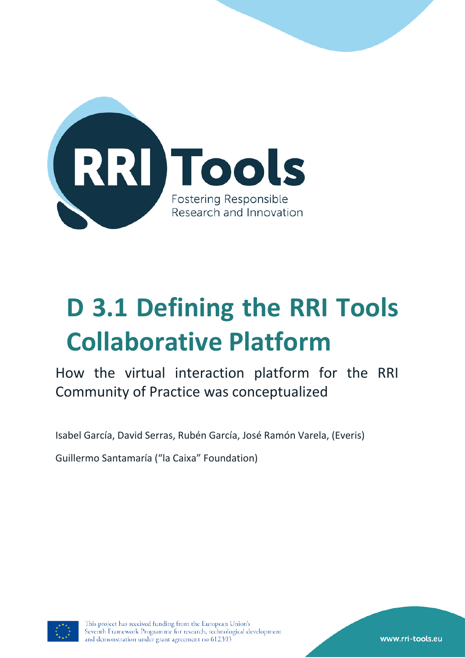

# **D 3.1 Defining the RRI Tools Collaborative Platform**

How the virtual interaction platform for the RRI Community of Practice was conceptualized

Isabel García, David Serras, Rubén García, José Ramón Varela, (Everis)

Guillermo Santamaría ("la Caixa" Foundation)



This project has received funding from the European Union's Seventh Framework Programme for research, technological development and demonstration under grant agreement no 612393

www.rri-tools.eu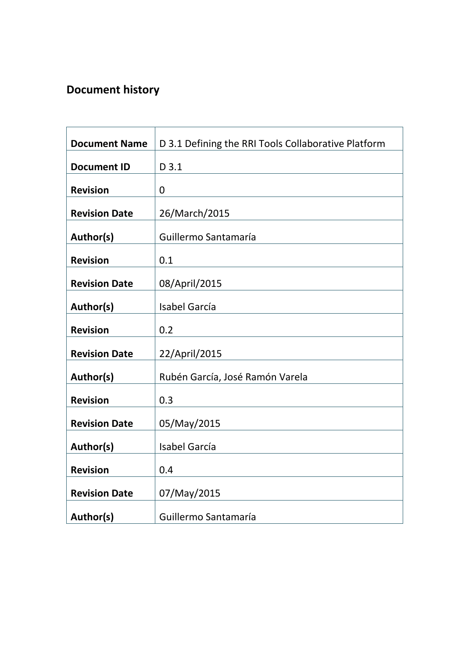# **Document history**

| <b>Document Name</b> | D 3.1 Defining the RRI Tools Collaborative Platform |  |
|----------------------|-----------------------------------------------------|--|
| <b>Document ID</b>   | D 3.1                                               |  |
| <b>Revision</b>      | $\overline{0}$                                      |  |
| <b>Revision Date</b> | 26/March/2015                                       |  |
| Author(s)            | Guillermo Santamaría                                |  |
| <b>Revision</b>      | 0.1                                                 |  |
| <b>Revision Date</b> | 08/April/2015                                       |  |
| Author(s)            | <b>Isabel García</b>                                |  |
| <b>Revision</b>      | 0.2                                                 |  |
| <b>Revision Date</b> | 22/April/2015                                       |  |
| Author(s)            | Rubén García, José Ramón Varela                     |  |
| <b>Revision</b>      | 0.3                                                 |  |
| <b>Revision Date</b> | 05/May/2015                                         |  |
| Author(s)            | <b>Isabel García</b>                                |  |
| <b>Revision</b>      | 0.4                                                 |  |
| <b>Revision Date</b> | 07/May/2015                                         |  |
| Author(s)            | Guillermo Santamaría                                |  |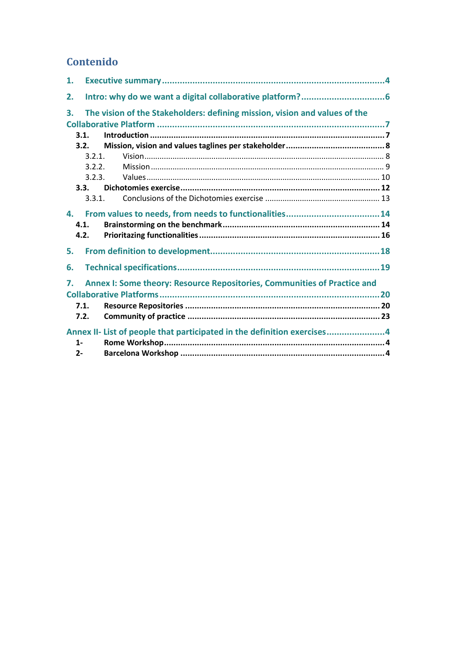# Contenido

<span id="page-2-0"></span>

| 1.    |        |                                                                            |  |
|-------|--------|----------------------------------------------------------------------------|--|
| 2.    |        |                                                                            |  |
| 3.    |        | The vision of the Stakeholders: defining mission, vision and values of the |  |
|       |        |                                                                            |  |
|       | 3.1.   |                                                                            |  |
|       | 3.2.   |                                                                            |  |
|       | 3.2.1. |                                                                            |  |
|       | 3.2.2. |                                                                            |  |
|       | 3.2.3. |                                                                            |  |
|       | 3.3.   |                                                                            |  |
|       | 3.3.1. |                                                                            |  |
| 4.    |        |                                                                            |  |
|       | 4.1.   |                                                                            |  |
|       | 4.2.   |                                                                            |  |
| 5.    |        |                                                                            |  |
| 6.    |        |                                                                            |  |
| 7.    |        | Annex I: Some theory: Resource Repositories, Communities of Practice and   |  |
|       |        |                                                                            |  |
|       |        |                                                                            |  |
|       | 7.1.   |                                                                            |  |
|       | 7.2.   |                                                                            |  |
|       |        |                                                                            |  |
| $1 -$ |        | Annex II- List of people that participated in the definition exercises4    |  |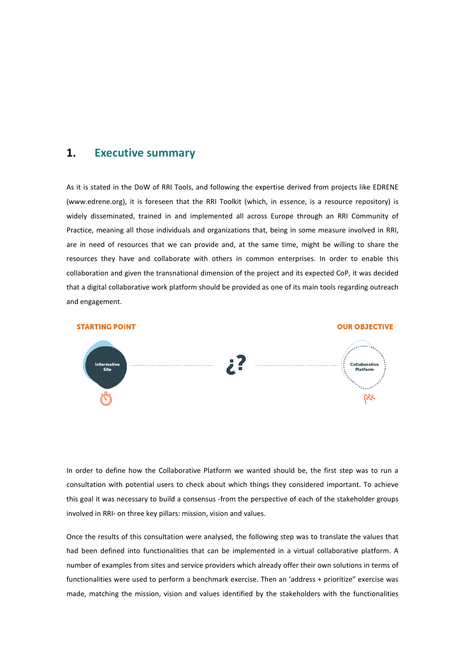## <span id="page-3-0"></span>**1. Executive summary**

As it is stated in the DoW of RRI Tools, and following the expertise derived from projects like EDRENE (www.edrene.org), it is foreseen that the RRI Toolkit (which, in essence, is a resource repository) is widely disseminated, trained in and implemented all across Europe through an RRI Community of Practice, meaning all those individuals and organizations that, being in some measure involved in RRI, are in need of resources that we can provide and, at the same time, might be willing to share the resources they have and collaborate with others in common enterprises. In order to enable this collaboration and given the transnational dimension of the project and its expected CoP, it was decided that a digital collaborative work platform should be provided as one of its main tools regarding outreach and engagement.



In order to define how the Collaborative Platform we wanted should be, the first step was to run a consultation with potential users to check about which things they considered important. To achieve this goal it was necessary to build a consensus -from the perspective of each of the stakeholder groups involved in RRI- on three key pillars: mission, vision and values.

Once the results of this consultation were analysed, the following step was to translate the values that had been defined into functionalities that can be implemented in a virtual collaborative platform. A number of examples from sites and service providers which already offer their own solutions in terms of functionalities were used to perform a benchmark exercise. Then an 'address + prioritize" exercise was made, matching the mission, vision and values identified by the stakeholders with the functionalities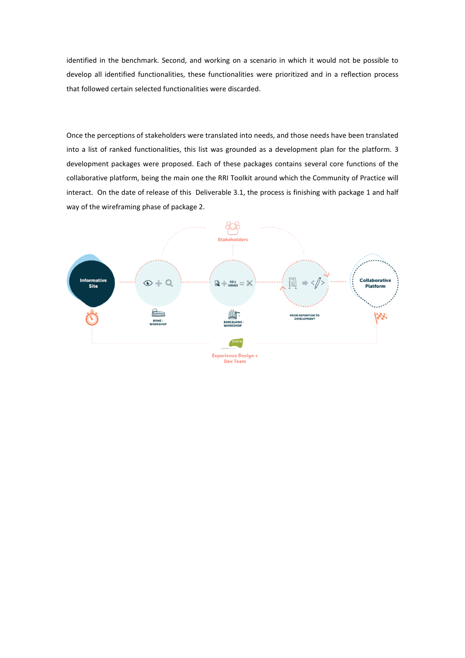identified in the benchmark. Second, and working on a scenario in which it would not be possible to develop all identified functionalities, these functionalities were prioritized and in a reflection process that followed certain selected functionalities were discarded.

Once the perceptions of stakeholders were translated into needs, and those needs have been translated into a list of ranked functionalities, this list was grounded as a development plan for the platform. 3 development packages were proposed. Each of these packages contains several core functions of the collaborative platform, being the main one the RRI Toolkit around which the Community of Practice will interact. On the date of release of this Deliverable 3.1, the process is finishing with package 1 and half way of the wireframing phase of package 2.

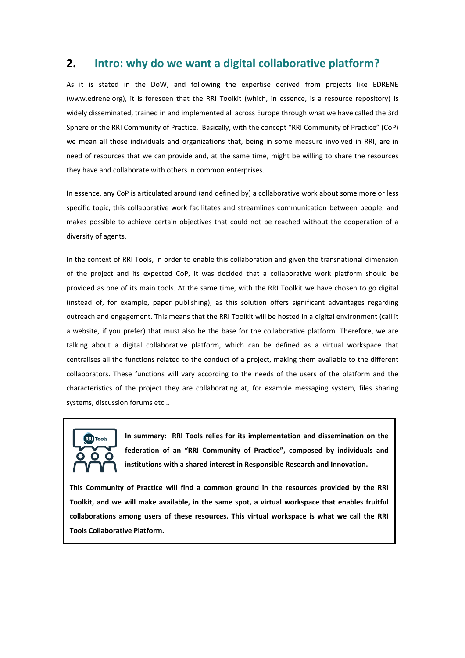## <span id="page-5-0"></span>**2. Intro: why do we want a digital collaborative platform?**

As it is stated in the DoW, and following the expertise derived from projects like EDRENE [\(www.edrene.org\)](http://www.edrene.org/), it is foreseen that the RRI Toolkit (which, in essence, is a resource repository) is widely disseminated, trained in and implemented all across Europe through what we have called the 3rd Sphere or the RRI Community of Practice. Basically, with the concept "RRI Community of Practice" (CoP) we mean all those individuals and organizations that, being in some measure involved in RRI, are in need of resources that we can provide and, at the same time, might be willing to share the resources they have and collaborate with others in common enterprises.

In essence, any CoP is articulated around (and defined by) a collaborative work about some more or less specific topic; this collaborative work facilitates and streamlines communication between people, and makes possible to achieve certain objectives that could not be reached without the cooperation of a diversity of agents.

In the context of RRI Tools, in order to enable this collaboration and given the transnational dimension of the project and its expected CoP, it was decided that a collaborative work platform should be provided as one of its main tools. At the same time, with the RRI Toolkit we have chosen to go digital (instead of, for example, paper publishing), as this solution offers significant advantages regarding outreach and engagement. This means that the RRI Toolkit will be hosted in a digital environment (call it a website, if you prefer) that must also be the base for the collaborative platform. Therefore, we are talking about a digital collaborative platform, which can be defined as a virtual workspace that centralises all the functions related to the conduct of a project, making them available to the different collaborators. These functions will vary according to the needs of the users of the platform and the characteristics of the project they are collaborating at, for example messaging system, files sharing systems, discussion forums etc...



**In summary: RRI Tools relies for its implementation and dissemination on the federation of an "RRI Community of Practice", composed by individuals and institutions with a shared interest in Responsible Research and Innovation.** 

**This Community of Practice will find a common ground in the resources provided by the RRI Toolkit, and we will make available, in the same spot, a virtual workspace that enables fruitful collaborations among users of these resources. This virtual workspace is what we call the RRI Tools Collaborative Platform.**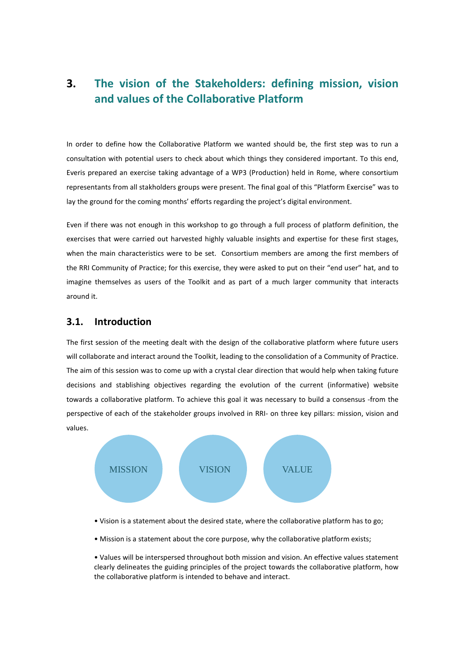# <span id="page-6-0"></span>**3. The vision of the Stakeholders: defining mission, vision and values of the Collaborative Platform**

In order to define how the Collaborative Platform we wanted should be, the first step was to run a consultation with potential users to check about which things they considered important. To this end, Everis prepared an exercise taking advantage of a WP3 (Production) held in Rome, where consortium representants from all stakholders groups were present. The final goal of this "Platform Exercise" was to lay the ground for the coming months' efforts regarding the project's digital environment.

Even if there was not enough in this workshop to go through a full process of platform definition, the exercises that were carried out harvested highly valuable insights and expertise for these first stages, when the main characteristics were to be set. Consortium members are among the first members of the RRI Community of Practice; for this exercise, they were asked to put on their "end user" hat, and to imagine themselves as users of the Toolkit and as part of a much larger community that interacts around it.

### <span id="page-6-1"></span>**3.1. Introduction**

The first session of the meeting dealt with the design of the collaborative platform where future users will collaborate and interact around the Toolkit, leading to the consolidation of a Community of Practice. The aim of this session was to come up with a crystal clear direction that would help when taking future decisions and stablishing objectives regarding the evolution of the current (informative) website towards a collaborative platform. To achieve this goal it was necessary to build a consensus -from the perspective of each of the stakeholder groups involved in RRI- on three key pillars: mission, vision and values.



- Vision is a statement about the desired state, where the collaborative platform has to go;
- Mission is a statement about the core purpose, why the collaborative platform exists;

• Values will be interspersed throughout both mission and vision. An effective values statement clearly delineates the guiding principles of the project towards the collaborative platform, how the collaborative platform is intended to behave and interact.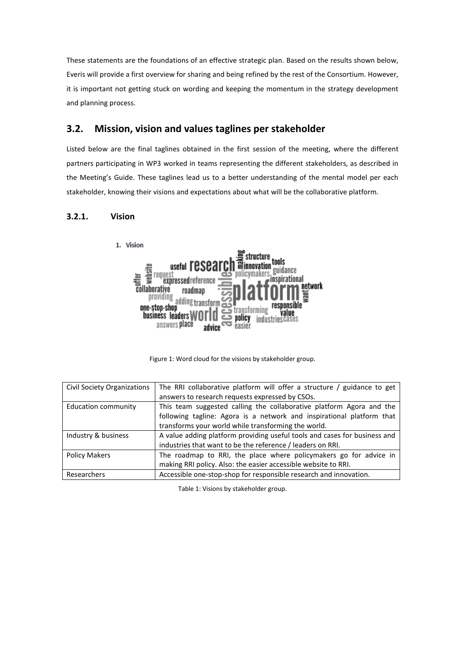These statements are the foundations of an effective strategic plan. Based on the results shown below, Everis will provide a first overview for sharing and being refined by the rest of the Consortium. However, it is important not getting stuck on wording and keeping the momentum in the strategy development and planning process.

## <span id="page-7-0"></span>**3.2. Mission, vision and values taglines per stakeholder**

Listed below are the final taglines obtained in the first session of the meeting, where the different partners participating in WP3 worked in teams representing the different stakeholders, as described in the Meeting's Guide. These taglines lead us to a better understanding of the mental model per each stakeholder, knowing their visions and expectations about what will be the collaborative platform.

#### <span id="page-7-1"></span>**3.2.1. Vision**



Figure 1: Word cloud for the visions by stakeholder group.

| Civil Society Organizations | The RRI collaborative platform will offer a structure / guidance to get                                                                                                                              |  |
|-----------------------------|------------------------------------------------------------------------------------------------------------------------------------------------------------------------------------------------------|--|
|                             | answers to research requests expressed by CSOs.                                                                                                                                                      |  |
| Education community         | This team suggested calling the collaborative platform Agora and the<br>following tagline: Agora is a network and inspirational platform that<br>transforms your world while transforming the world. |  |
| Industry & business         | A value adding platform providing useful tools and cases for business and<br>industries that want to be the reference / leaders on RRI.                                                              |  |
| <b>Policy Makers</b>        | The roadmap to RRI, the place where policymakers go for advice in<br>making RRI policy. Also: the easier accessible website to RRI.                                                                  |  |
| Researchers                 | Accessible one-stop-shop for responsible research and innovation.                                                                                                                                    |  |

Table 1: Visions by stakeholder group.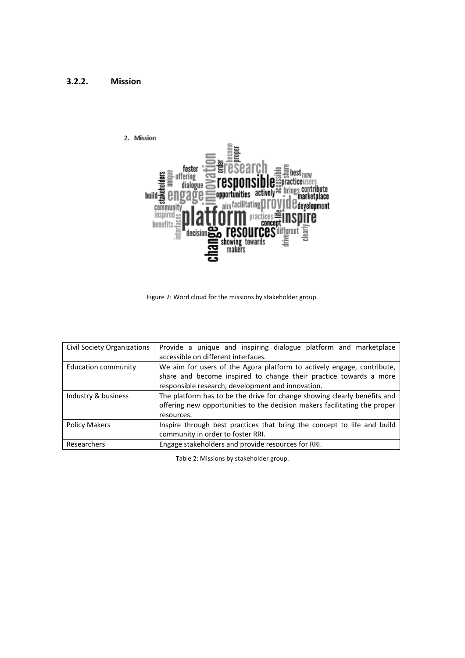<span id="page-8-0"></span>



Figure 2: Word cloud for the missions by stakeholder group.

| Civil Society Organizations | Provide a unique and inspiring dialogue platform and marketplace<br>accessible on different interfaces.                                                                                          |  |
|-----------------------------|--------------------------------------------------------------------------------------------------------------------------------------------------------------------------------------------------|--|
| Education community         | We aim for users of the Agora platform to actively engage, contribute,<br>share and become inspired to change their practice towards a more<br>responsible research, development and innovation. |  |
| Industry & business         | The platform has to be the drive for change showing clearly benefits and<br>offering new opportunities to the decision makers facilitating the proper<br>resources.                              |  |
| <b>Policy Makers</b>        | Inspire through best practices that bring the concept to life and build<br>community in order to foster RRI.                                                                                     |  |
| Researchers                 | Engage stakeholders and provide resources for RRI.                                                                                                                                               |  |

Table 2: Missions by stakeholder group.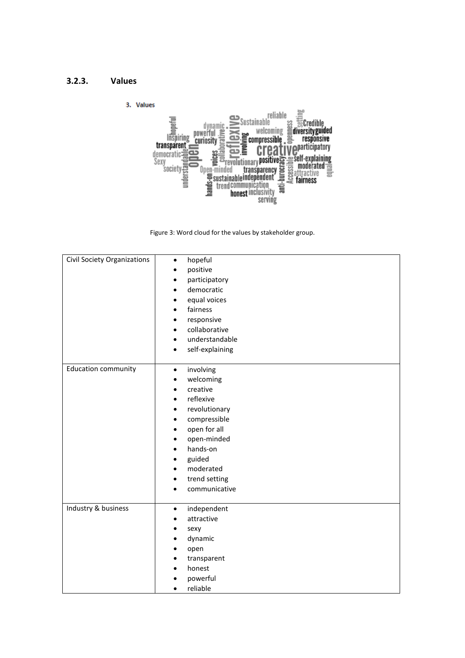#### <span id="page-9-0"></span>**3.2.3. Values**





| <b>Civil Society Organizations</b> | hopeful<br>$\bullet$<br>positive<br>$\bullet$<br>participatory<br>٠<br>democratic<br>$\bullet$<br>equal voices<br>٠<br>fairness<br>$\bullet$<br>responsive<br>$\bullet$<br>collaborative<br>$\bullet$<br>understandable<br>$\bullet$<br>self-explaining<br>$\bullet$                                                                                  |
|------------------------------------|-------------------------------------------------------------------------------------------------------------------------------------------------------------------------------------------------------------------------------------------------------------------------------------------------------------------------------------------------------|
| <b>Education community</b>         | involving<br>$\bullet$<br>welcoming<br>$\bullet$<br>creative<br>$\bullet$<br>reflexive<br>$\bullet$<br>revolutionary<br>$\bullet$<br>compressible<br>$\bullet$<br>open for all<br>$\bullet$<br>open-minded<br>$\bullet$<br>hands-on<br>$\bullet$<br>guided<br>٠<br>moderated<br>$\bullet$<br>trend setting<br>$\bullet$<br>communicative<br>$\bullet$ |
| Industry & business                | independent<br>$\bullet$<br>attractive<br>$\bullet$<br>sexy<br>$\bullet$<br>dynamic<br>$\bullet$<br>open<br>$\bullet$<br>transparent<br>٠<br>honest<br>$\bullet$<br>powerful<br>$\bullet$<br>reliable<br>$\bullet$                                                                                                                                    |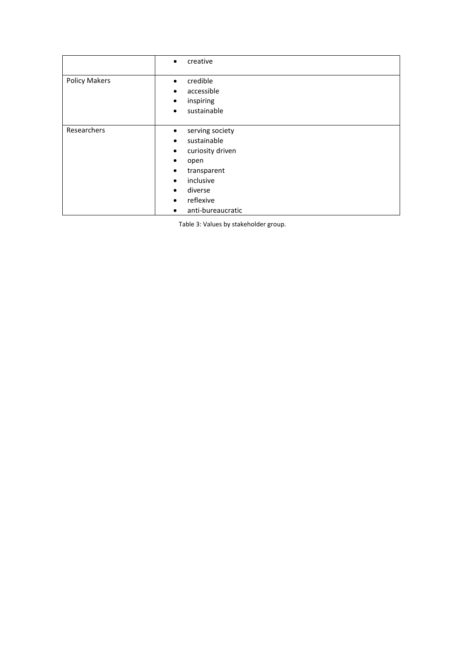|                      | creative<br>$\bullet$                                                                                                                                                                                                                    |
|----------------------|------------------------------------------------------------------------------------------------------------------------------------------------------------------------------------------------------------------------------------------|
| <b>Policy Makers</b> | credible<br>$\bullet$<br>accessible<br>٠<br>inspiring<br>$\bullet$<br>sustainable<br>$\bullet$                                                                                                                                           |
| Researchers          | serving society<br>٠<br>sustainable<br>$\bullet$<br>curiosity driven<br>$\bullet$<br>open<br>$\bullet$<br>transparent<br>٠<br>inclusive<br>$\bullet$<br>diverse<br>$\bullet$<br>reflexive<br>$\bullet$<br>anti-bureaucratic<br>$\bullet$ |

Table 3: Values by stakeholder group.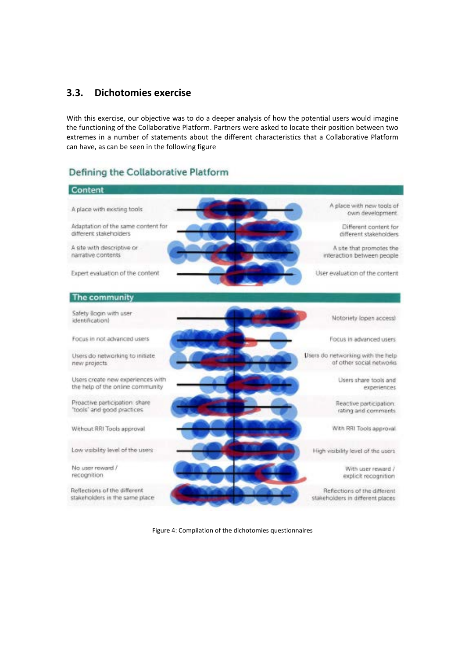## <span id="page-11-0"></span>**3.3. Dichotomies exercise**

With this exercise, our objective was to do a deeper analysis of how the potential users would imagine the functioning of the Collaborative Platform. Partners were asked to locate their position between two extremes in a number of statements about the different characteristics that a Collaborative Platform can have, as can be seen in the following figure

## Defining the Collaborative Platform



Figure 4: Compilation of the dichotomies questionnaires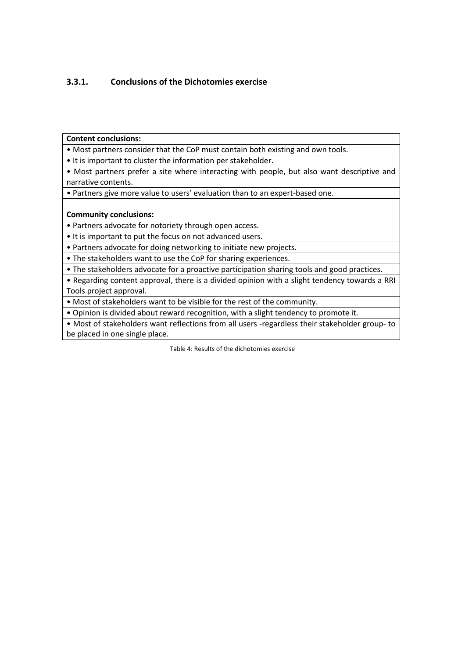## <span id="page-12-0"></span>**3.3.1. Conclusions of the Dichotomies exercise**

**Content conclusions:** 

• Most partners consider that the CoP must contain both existing and own tools.

• It is important to cluster the information per stakeholder.

• Most partners prefer a site where interacting with people, but also want descriptive and narrative contents.

• Partners give more value to users' evaluation than to an expert-based one.

#### **Community conclusions:**

• Partners advocate for notoriety through open access.

• It is important to put the focus on not advanced users.

• Partners advocate for doing networking to initiate new projects.

• The stakeholders want to use the CoP for sharing experiences.

• The stakeholders advocate for a proactive participation sharing tools and good practices.

• Regarding content approval, there is a divided opinion with a slight tendency towards a RRI Tools project approval.

• Most of stakeholders want to be visible for the rest of the community.

• Opinion is divided about reward recognition, with a slight tendency to promote it.

• Most of stakeholders want reflections from all users -regardless their stakeholder group- to be placed in one single place.

Table 4: Results of the dichotomies exercise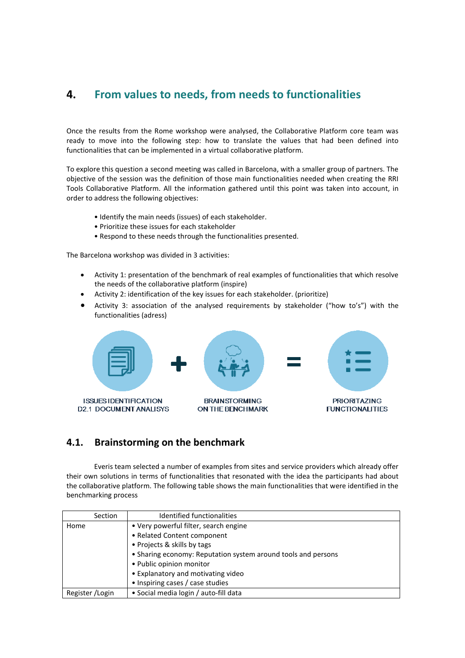# <span id="page-13-0"></span>**4. From values to needs, from needs to functionalities**

Once the results from the Rome workshop were analysed, the Collaborative Platform core team was ready to move into the following step: how to translate the values that had been defined into functionalities that can be implemented in a virtual collaborative platform.

To explore this question a second meeting was called in Barcelona, with a smaller group of partners. The objective of the session was the definition of those main functionalities needed when creating the RRI Tools Collaborative Platform. All the information gathered until this point was taken into account, in order to address the following objectives:

- Identify the main needs (issues) of each stakeholder.
- Prioritize these issues for each stakeholder
- Respond to these needs through the functionalities presented.

The Barcelona workshop was divided in 3 activities:

- Activity 1: presentation of the benchmark of real examples of functionalities that which resolve the needs of the collaborative platform (inspire)
- Activity 2: identification of the key issues for each stakeholder. (prioritize)
- Activity 3: association of the analysed requirements by stakeholder ("how to's") with the functionalities (adress)



## <span id="page-13-1"></span>**4.1. Brainstorming on the benchmark**

Everis team selected a number of examples from sites and service providers which already offer their own solutions in terms of functionalities that resonated with the idea the participants had about the collaborative platform. The following table shows the main functionalities that were identified in the benchmarking process

| Section          | Identified functionalities                                    |
|------------------|---------------------------------------------------------------|
| Home             | • Very powerful filter, search engine                         |
|                  | • Related Content component                                   |
|                  | • Projects & skills by tags                                   |
|                  | • Sharing economy: Reputation system around tools and persons |
|                  | • Public opinion monitor                                      |
|                  | • Explanatory and motivating video                            |
|                  | • Inspiring cases / case studies                              |
| Register / Login | • Social media login / auto-fill data                         |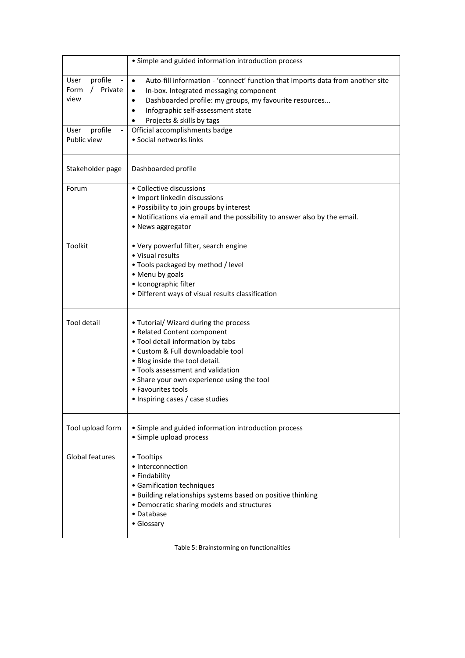|                                                                                | • Simple and guided information introduction process                                                                                                                                                                                                                                                                                                     |
|--------------------------------------------------------------------------------|----------------------------------------------------------------------------------------------------------------------------------------------------------------------------------------------------------------------------------------------------------------------------------------------------------------------------------------------------------|
| profile<br>User<br>/ Private<br>Form<br>view<br>profile<br>User<br>Public view | Auto-fill information - 'connect' function that imports data from another site<br>$\bullet$<br>In-box. Integrated messaging component<br>$\bullet$<br>Dashboarded profile: my groups, my favourite resources<br>$\bullet$<br>Infographic self-assessment state<br>Projects & skills by tags<br>Official accomplishments badge<br>• Social networks links |
| Stakeholder page                                                               | Dashboarded profile                                                                                                                                                                                                                                                                                                                                      |
| Forum                                                                          | • Collective discussions<br>· Import linkedin discussions<br>• Possibility to join groups by interest<br>. Notifications via email and the possibility to answer also by the email.<br>• News aggregator                                                                                                                                                 |
| <b>Toolkit</b>                                                                 | • Very powerful filter, search engine<br>• Visual results<br>. Tools packaged by method / level<br>• Menu by goals<br>· Iconographic filter<br>· Different ways of visual results classification                                                                                                                                                         |
| Tool detail                                                                    | • Tutorial/ Wizard during the process<br>• Related Content component<br>. Tool detail information by tabs<br>• Custom & Full downloadable tool<br>. Blog inside the tool detail.<br>• Tools assessment and validation<br>• Share your own experience using the tool<br>• Favourites tools<br>• Inspiring cases / case studies                            |
| Tool upload form                                                               | • Simple and guided information introduction process<br>• Simple upload process                                                                                                                                                                                                                                                                          |
| <b>Global features</b>                                                         | • Tooltips<br>• Interconnection<br>• Findability<br>· Gamification techniques<br>• Building relationships systems based on positive thinking<br>• Democratic sharing models and structures<br>• Database<br>• Glossary                                                                                                                                   |

Table 5: Brainstorming on functionalities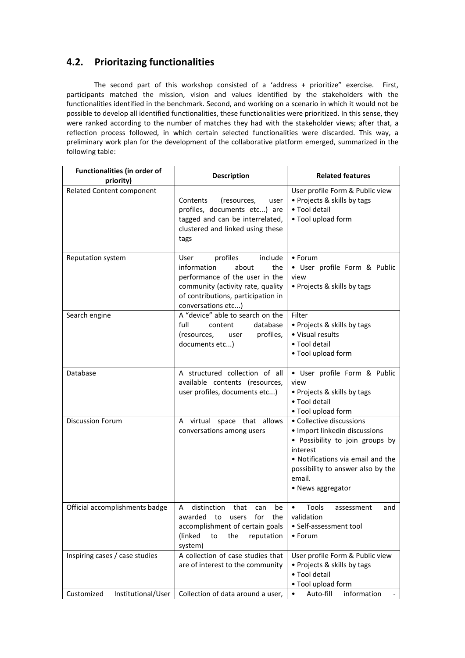## <span id="page-15-0"></span>**4.2. Prioritazing functionalities**

The second part of this workshop consisted of a 'address + prioritize" exercise. First, participants matched the mission, vision and values identified by the stakeholders with the functionalities identified in the benchmark. Second, and working on a scenario in which it would not be possible to develop all identified functionalities, these functionalities were prioritized. In this sense, they were ranked according to the number of matches they had with the stakeholder views; after that, a reflection process followed, in which certain selected functionalities were discarded. This way, a preliminary work plan for the development of the collaborative platform emerged, summarized in the following table:

| <b>Functionalities (in order of</b><br>priority) | <b>Description</b>                                                                                                                                                                            | <b>Related features</b>                                                                                                                                                                                           |
|--------------------------------------------------|-----------------------------------------------------------------------------------------------------------------------------------------------------------------------------------------------|-------------------------------------------------------------------------------------------------------------------------------------------------------------------------------------------------------------------|
| Related Content component                        | (resources,<br>Contents<br>user<br>profiles, documents etc) are<br>tagged and can be interrelated,<br>clustered and linked using these<br>tags                                                | User profile Form & Public view<br>• Projects & skills by tags<br>• Tool detail<br>• Tool upload form                                                                                                             |
| <b>Reputation system</b>                         | profiles<br>include<br>User<br>information<br>about<br>the<br>performance of the user in the<br>community (activity rate, quality<br>of contributions, participation in<br>conversations etc) | $\bullet$ Forum<br>• User profile Form & Public<br>view<br>• Projects & skills by tags                                                                                                                            |
| Search engine                                    | A "device" able to search on the<br>full<br>database<br>content<br>profiles,<br>(resources,<br>user<br>documents etc)                                                                         | Filter<br>• Projects & skills by tags<br>• Visual results<br>• Tool detail<br>• Tool upload form                                                                                                                  |
| Database                                         | A structured collection of all<br>available contents (resources,<br>user profiles, documents etc)                                                                                             | · User profile Form & Public<br>view<br>• Projects & skills by tags<br>· Tool detail<br>• Tool upload form                                                                                                        |
| <b>Discussion Forum</b>                          | A virtual space that allows<br>conversations among users                                                                                                                                      | • Collective discussions<br>· Import linkedin discussions<br>· Possibility to join groups by<br>interest<br>• Notifications via email and the<br>possibility to answer also by the<br>email.<br>• News aggregator |
| Official accomplishments badge                   | distinction that<br>A<br>can<br>be<br>awarded to users for the<br>accomplishment of certain goals<br>(linked<br>the<br>reputation<br>to<br>system)                                            | Tools<br>$\bullet$<br>assessment<br>and<br>validation<br>• Self-assessment tool<br>• Forum                                                                                                                        |
| Inspiring cases / case studies                   | A collection of case studies that<br>are of interest to the community                                                                                                                         | User profile Form & Public view<br>• Projects & skills by tags<br>• Tool detail<br>• Tool upload form                                                                                                             |
| Customized<br>Institutional/User                 | Collection of data around a user,                                                                                                                                                             | Auto-fill<br>information<br>$\bullet$                                                                                                                                                                             |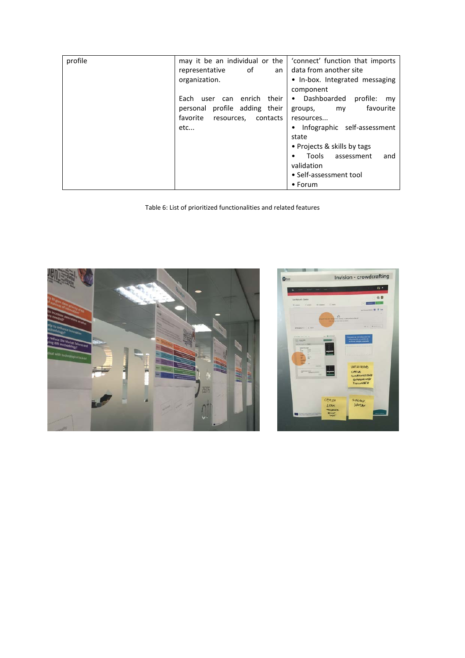| profile | may it be an individual or the        | 'connect' function that imports |
|---------|---------------------------------------|---------------------------------|
|         | 0f<br>representative<br>an            | data from another site          |
|         | organization.                         | • In-box. Integrated messaging  |
|         |                                       | component                       |
|         | enrich<br>their I<br>Each<br>user can | • Dashboarded profile:<br>my    |
|         | personal profile adding their         | favourite<br>groups,<br>my      |
|         | favorite<br>contacts<br>resources,    | resources                       |
|         | etc                                   | • Infographic self-assessment   |
|         |                                       | state                           |
|         |                                       | • Projects & skills by tags     |
|         |                                       | Tools assessment<br>and<br>٠    |
|         |                                       | validation                      |
|         |                                       | • Self-assessment tool          |
|         |                                       | $\bullet$ Forum                 |

Table 6: List of prioritized functionalities and related features



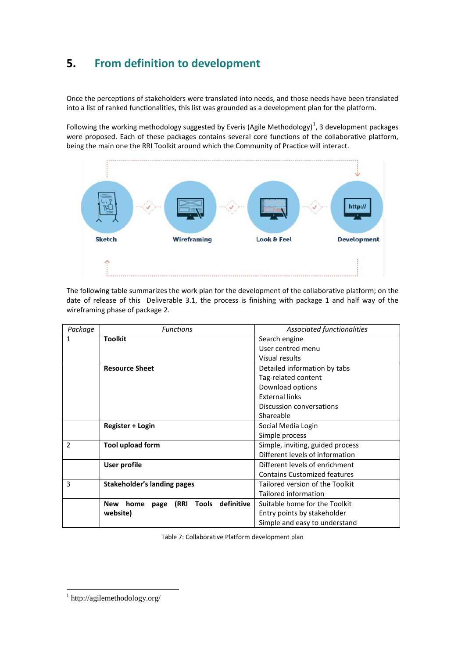# <span id="page-17-0"></span>**5. From definition to development**

Once the perceptions of stakeholders were translated into needs, and those needs have been translated into a list of ranked functionalities, this list was grounded as a development plan for the platform.

Following the working methodology suggested by Everis (Agile Methodology)<sup>[1](#page-2-0)</sup>, 3 development packages were proposed. Each of these packages contains several core functions of the collaborative platform, being the main one the RRI Toolkit around which the Community of Practice will interact.



The following table summarizes the work plan for the development of the collaborative platform; on the date of release of this Deliverable 3.1, the process is finishing with package 1 and half way of the wireframing phase of package 2.

| Package                  | <b>Functions</b>                                          | Associated functionalities          |
|--------------------------|-----------------------------------------------------------|-------------------------------------|
| 1                        | <b>Toolkit</b>                                            | Search engine                       |
|                          |                                                           | User centred menu                   |
|                          |                                                           | Visual results                      |
|                          | <b>Resource Sheet</b>                                     | Detailed information by tabs        |
|                          |                                                           | Tag-related content                 |
|                          |                                                           | Download options                    |
|                          |                                                           | <b>External links</b>               |
|                          |                                                           | Discussion conversations            |
|                          |                                                           | Shareable                           |
|                          | Register + Login                                          | Social Media Login                  |
|                          |                                                           | Simple process                      |
| $\overline{\phantom{a}}$ | <b>Tool upload form</b>                                   | Simple, inviting, guided process    |
|                          |                                                           | Different levels of information     |
|                          | <b>User profile</b>                                       | Different levels of enrichment      |
|                          |                                                           | <b>Contains Customized features</b> |
| 3                        | <b>Stakeholder's landing pages</b>                        | Tailored version of the Toolkit     |
|                          |                                                           | Tailored information                |
|                          | definitive<br>(RRI<br><b>Tools</b><br>New<br>home<br>page | Suitable home for the Toolkit       |
|                          | website)                                                  | Entry points by stakeholder         |
|                          |                                                           | Simple and easy to understand       |

Table 7: Collaborative Platform development plan

<span id="page-17-1"></span><sup>1</sup> http://agilemethodology.org/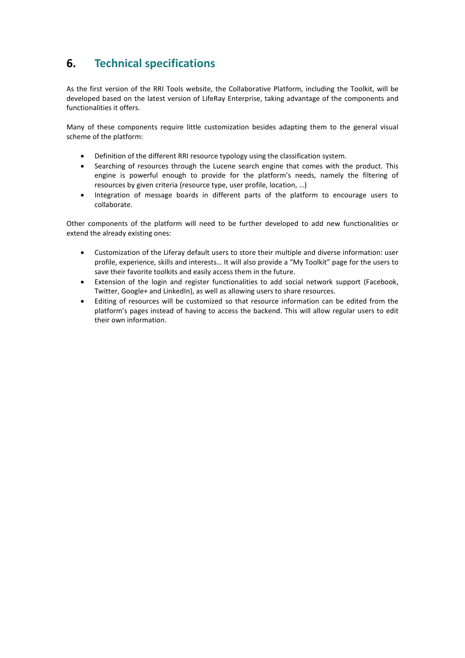# <span id="page-18-0"></span>**6. Technical specifications**

As the first version of the RRI Tools website, the Collaborative Platform, including the Toolkit, will be developed based on the latest version of LifeRay Enterprise, taking advantage of the components and functionalities it offers.

Many of these components require little customization besides adapting them to the general visual scheme of the platform:

- Definition of the different RRI resource typology using the classification system.
- Searching of resources through the Lucene search engine that comes with the product. This engine is powerful enough to provide for the platform's needs, namely the filtering of resources by given criteria (resource type, user profile, location, …)
- Integration of message boards in different parts of the platform to encourage users to collaborate.

Other components of the platform will need to be further developed to add new functionalities or extend the already existing ones:

- Customization of the Liferay default users to store their multiple and diverse information: user profile, experience, skills and interests… It will also provide a "My Toolkit" page for the users to save their favorite toolkits and easily access them in the future.
- Extension of the login and register functionalities to add social network support (Facebook, Twitter, Google+ and LinkedIn), as well as allowing users to share resources.
- Editing of resources will be customized so that resource information can be edited from the platform's pages instead of having to access the backend. This will allow regular users to edit their own information.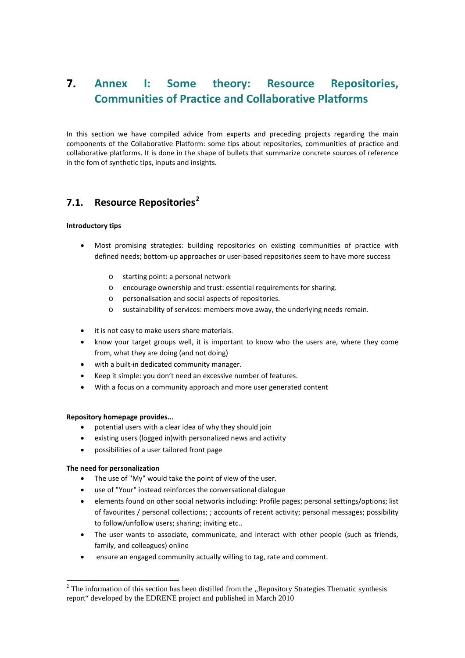# <span id="page-19-0"></span>**7. Annex I: Some theory: Resource Repositories, Communities of Practice and Collaborative Platforms**

In this section we have compiled advice from experts and preceding projects regarding the main components of the Collaborative Platform: some tips about repositories, communities of practice and collaborative platforms. It is done in the shape of bullets that summarize concrete sources of reference in the fom of synthetic tips, inputs and insights.

## <span id="page-19-1"></span>**7.1. Resource Repositories[2](#page-17-1)**

#### **Introductory tips**

- Most promising strategies: building repositories on existing communities of practice with defined needs; bottom-up approaches or user-based repositories seem to have more success
	- o starting point: a personal network
	- o encourage ownership and trust: essential requirements for sharing.
	- o personalisation and social aspects of repositories.
	- o sustainability of services: members move away, the underlying needs remain.
- it is not easy to make users share materials.
- know your target groups well, it is important to know who the users are, where they come from, what they are doing (and not doing)
- with a built-in dedicated community manager.
- Keep it simple: you don't need an excessive number of features.
- With a focus on a community approach and more user generated content

#### **Repository homepage provides...**

- potential users with a clear idea of why they should join
- existing users (logged in)with personalized news and activity
- possibilities of a user tailored front page

#### **The need for personalization**

- The use of "My" would take the point of view of the user.
- use of "Your" instead reinforces the conversational dialogue
- elements found on other social networks including: Profile pages; personal settings/options; list of favourites / personal collections; ; accounts of recent activity; personal messages; possibility to follow/unfollow users; sharing; inviting etc..
- The user wants to associate, communicate, and interact with other people (such as friends, family, and colleagues) online
- ensure an engaged community actually willing to tag, rate and comment.

<span id="page-19-2"></span> $2$  The information of this section has been distilled from the "Repository Strategies Thematic synthesis report" developed by the EDRENE project and published in March 2010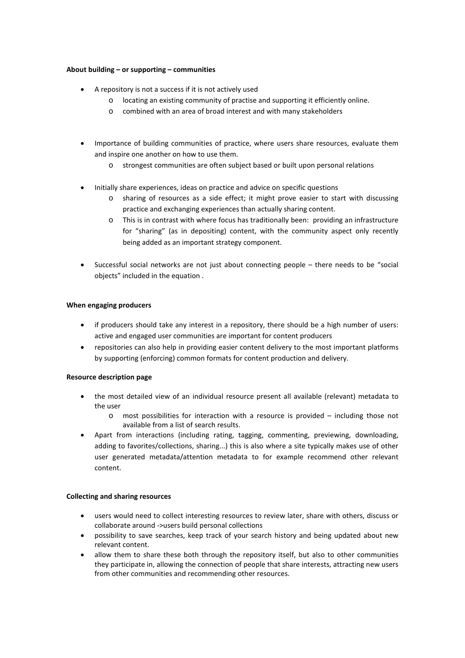#### **About building – or supporting – communities**

- A repository is not a success if it is not actively used
	- o locating an existing community of practise and supporting it efficiently online.
	- o combined with an area of broad interest and with many stakeholders
- Importance of building communities of practice, where users share resources, evaluate them and inspire one another on how to use them.
	- o strongest communities are often subject based or built upon personal relations
- Initially share experiences, ideas on practice and advice on specific questions
	- o sharing of resources as a side effect; it might prove easier to start with discussing practice and exchanging experiences than actually sharing content.
	- o This is in contrast with where focus has traditionally been: providing an infrastructure for "sharing" (as in depositing) content, with the community aspect only recently being added as an important strategy component.
- Successful social networks are not just about connecting people there needs to be "social objects" included in the equation .

#### **When engaging producers**

- if producers should take any interest in a repository, there should be a high number of users: active and engaged user communities are important for content producers
- repositories can also help in providing easier content delivery to the most important platforms by supporting (enforcing) common formats for content production and delivery.

#### **Resource description page**

- the most detailed view of an individual resource present all available (relevant) metadata to the user
	- o most possibilities for interaction with a resource is provided including those not available from a list of search results.
- Apart from interactions (including rating, tagging, commenting, previewing, downloading, adding to favorites/collections, sharing...) this is also where a site typically makes use of other user generated metadata/attention metadata to for example recommend other relevant content.

#### **Collecting and sharing resources**

- users would need to collect interesting resources to review later, share with others, discuss or collaborate around ->users build personal collections
- possibility to save searches, keep track of your search history and being updated about new relevant content.
- allow them to share these both through the repository itself, but also to other communities they participate in, allowing the connection of people that share interests, attracting new users from other communities and recommending other resources.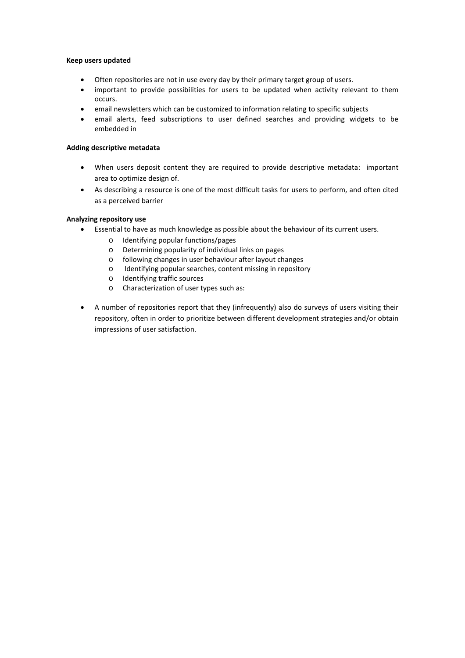#### **Keep users updated**

- Often repositories are not in use every day by their primary target group of users.
- important to provide possibilities for users to be updated when activity relevant to them occurs.
- email newsletters which can be customized to information relating to specific subjects
- email alerts, feed subscriptions to user defined searches and providing widgets to be embedded in

#### **Adding descriptive metadata**

- When users deposit content they are required to provide descriptive metadata: important area to optimize design of.
- As describing a resource is one of the most difficult tasks for users to perform, and often cited as a perceived barrier

#### **Analyzing repository use**

- Essential to have as much knowledge as possible about the behaviour of its current users.
	- o Identifying popular functions/pages
	- o Determining popularity of individual links on pages
	- o following changes in user behaviour after layout changes
	- o Identifying popular searches, content missing in repository
	- o Identifying traffic sources
	- o Characterization of user types such as:
- A number of repositories report that they (infrequently) also do surveys of users visiting their repository, often in order to prioritize between different development strategies and/or obtain impressions of user satisfaction.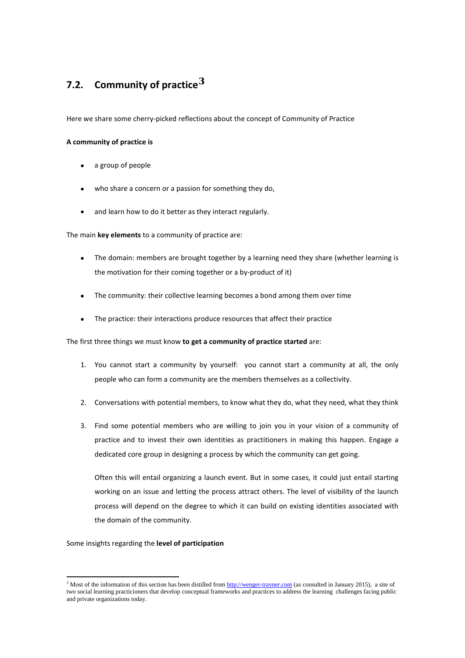# <span id="page-22-0"></span>**7.2. Community of practice[3](#page-19-2)**

Here we share some cherry-picked reflections about the concept of Community of Practice

#### **A community of practice is**

- a group of people
- who share a concern or a passion for something they do,
- and learn how to do it better as they interact regularly.

The main **key elements** to a community of practice are:

- The domain: members are brought together by a learning need they share (whether learning is the motivation for their coming together or a by-product of it)
- The community: their collective learning becomes a bond among them over time
- The practice: their interactions produce resources that affect their practice

#### The first three things we must know **to get a community of practice started** are:

- 1. You cannot start a community by yourself: you cannot start a community at all, the only people who can form a community are the members themselves as a collectivity.
- 2. Conversations with potential members, to know what they do, what they need, what they think
- 3. Find some potential members who are willing to join you in your vision of a community of practice and to invest their own identities as practitioners in making this happen. Engage a dedicated core group in designing a process by which the community can get going.

Often this will entail organizing a launch event. But in some cases, it could just entail starting working on an issue and letting the process attract others. The level of visibility of the launch process will depend on the degree to which it can build on existing identities associated with the domain of the community.

#### Some insights regarding the **level of participation**

<span id="page-22-1"></span><sup>&</sup>lt;sup>3</sup> Most of the information of this section has been distilled fro[m http://wenger-trayner.com](http://wenger-trayner.com/) (as consulted in January 2015), a site of two social learning practicioners that develop conceptual frameworks and practices to address the learning challenges facing public and private organizations today.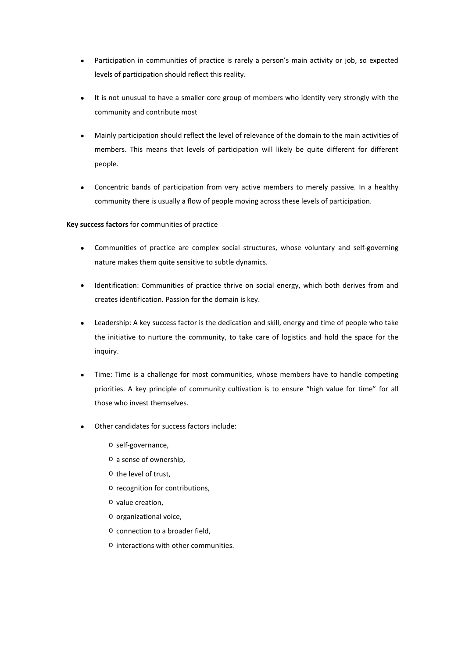- Participation in communities of practice is rarely a person's main activity or job, so expected levels of participation should reflect this reality.
- It is not unusual to have a smaller core group of members who identify very strongly with the community and contribute most
- Mainly participation should reflect the level of relevance of the domain to the main activities of members. This means that levels of participation will likely be quite different for different people.
- Concentric bands of participation from very active members to merely passive. In a healthy community there is usually a flow of people moving across these levels of participation.

#### **Key success factors** for communities of practice

- Communities of practice are complex social structures, whose voluntary and self-governing nature makes them quite sensitive to subtle dynamics.
- Identification: Communities of practice thrive on social energy, which both derives from and creates identification. Passion for the domain is key.
- Leadership: A key success factor is the dedication and skill, energy and time of people who take the initiative to nurture the community, to take care of logistics and hold the space for the inquiry.
- Time: Time is a challenge for most communities, whose members have to handle competing priorities. A key principle of community cultivation is to ensure "high value for time" for all those who invest themselves.
- Other candidates for success factors include:
	- o self-governance,
	- o a sense of ownership,
	- o the level of trust,
	- o recognition for contributions,
	- o value creation,
	- o organizational voice,
	- o connection to a broader field,
	- o interactions with other communities.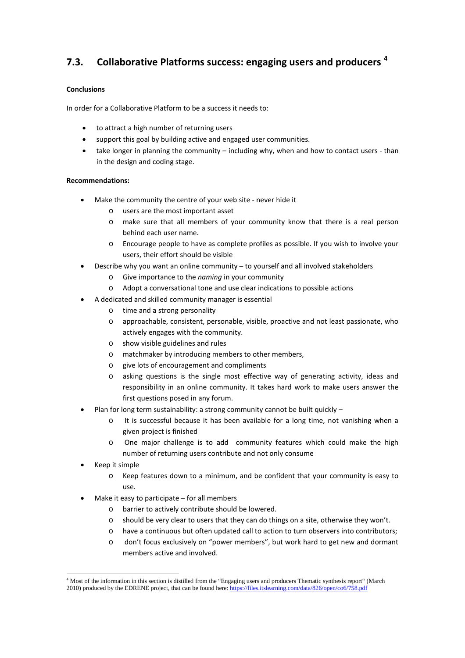## **7.3. Collaborative Platforms success: engaging users and producers [4](#page-22-1)**

#### **Conclusions**

In order for a Collaborative Platform to be a success it needs to:

- to attract a high number of returning users
- support this goal by building active and engaged user communities.
- take longer in planning the community including why, when and how to contact users than in the design and coding stage.

#### **Recommendations:**

- Make the community the centre of your web site never hide it
	- o users are the most important asset
	- o make sure that all members of your community know that there is a real person behind each user name.
	- o Encourage people to have as complete profiles as possible. If you wish to involve your users, their effort should be visible
- Describe why you want an online community to yourself and all involved stakeholders
	- o Give importance to the *naming* in your community
	- o Adopt a conversational tone and use clear indications to possible actions
	- A dedicated and skilled community manager is essential
		- o time and a strong personality
		- o approachable, consistent, personable, visible, proactive and not least passionate, who actively engages with the community.
		- o show visible guidelines and rules
		- o matchmaker by introducing members to other members,
		- o give lots of encouragement and compliments
		- o asking questions is the single most effective way of generating activity, ideas and responsibility in an online community. It takes hard work to make users answer the first questions posed in any forum.
- Plan for long term sustainability: a strong community cannot be built quickly
	- o It is successful because it has been available for a long time, not vanishing when a given project is finished
	- o One major challenge is to add community features which could make the high number of returning users contribute and not only consume
- Keep it simple
	- o Keep features down to a minimum, and be confident that your community is easy to use.
- Make it easy to participate  $-$  for all members
	- o barrier to actively contribute should be lowered.
	- o should be very clear to users that they can do things on a site, otherwise they won't.
	- o have a continuous but often updated call to action to turn observers into contributors;
	- o don't focus exclusively on "power members", but work hard to get new and dormant members active and involved.

<sup>&</sup>lt;sup>4</sup> Most of the information in this section is distilled from the "Engaging users and producers Thematic synthesis report" (March 2010) produced by the EDRENE project, that can be found here[: https://files.itslearning.com/data/826/open/co6/758.pdf](https://files.itslearning.com/data/826/open/co6/758.pdf)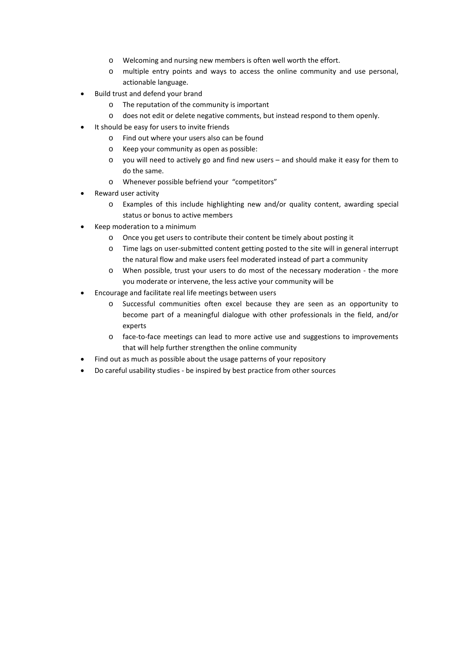- o Welcoming and nursing new members is often well worth the effort.
- o multiple entry points and ways to access the online community and use personal, actionable language.
- Build trust and defend your brand
	- o The reputation of the community is important
	- o does not edit or delete negative comments, but instead respond to them openly.
- It should be easy for users to invite friends
	- o Find out where your users also can be found
	- o Keep your community as open as possible:
	- o you will need to actively go and find new users and should make it easy for them to do the same.
	- o Whenever possible befriend your "competitors"
- Reward user activity
	- o Examples of this include highlighting new and/or quality content, awarding special status or bonus to active members
- Keep moderation to a minimum
	- o Once you get users to contribute their content be timely about posting it
	- o Time lags on user-submitted content getting posted to the site will in general interrupt the natural flow and make users feel moderated instead of part a community
	- o When possible, trust your users to do most of the necessary moderation the more you moderate or intervene, the less active your community will be
- Encourage and facilitate real life meetings between users
	- o Successful communities often excel because they are seen as an opportunity to become part of a meaningful dialogue with other professionals in the field, and/or experts
	- o face-to-face meetings can lead to more active use and suggestions to improvements that will help further strengthen the online community
- Find out as much as possible about the usage patterns of your repository
- Do careful usability studies be inspired by best practice from other sources